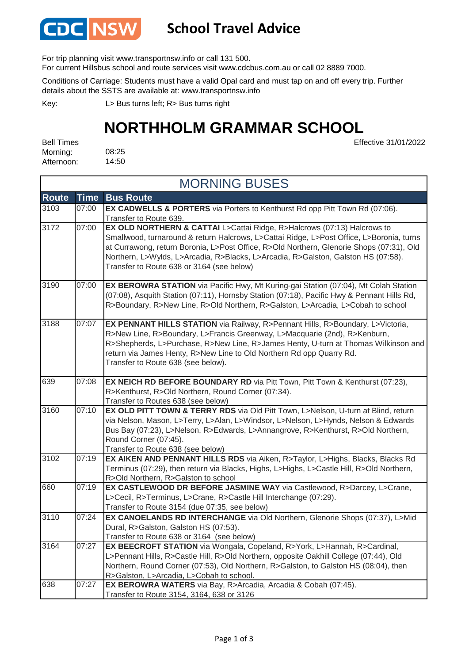

### **School Travel Advice**

For trip planning visit www.transportnsw.info or call 131 500.

For current Hillsbus school and route services visit www.cdcbus.com.au or call 02 8889 7000.

Conditions of Carriage: Students must have a valid Opal card and must tap on and off every trip. Further details about the SSTS are available at: www.transportnsw.info

L> Bus turns left; R> Bus turns right Key:

## **NORTHHOLM GRAMMAR SCHOOL**

08:25 14:50 Bell Times Morning: Afternoon:

Effective 31/01/2022

| <b>MORNING BUSES</b> |             |                                                                                                                                                                                                                                                                                                                                                                                                   |  |  |
|----------------------|-------------|---------------------------------------------------------------------------------------------------------------------------------------------------------------------------------------------------------------------------------------------------------------------------------------------------------------------------------------------------------------------------------------------------|--|--|
| <b>Route</b>         | <b>Time</b> | <b>Bus Route</b>                                                                                                                                                                                                                                                                                                                                                                                  |  |  |
| 3103                 | 07:00       | EX CADWELLS & PORTERS via Porters to Kenthurst Rd opp Pitt Town Rd (07:06).<br>Transfer to Route 639.                                                                                                                                                                                                                                                                                             |  |  |
| 3172                 | 07:00       | EX OLD NORTHERN & CATTAI L>Cattai Ridge, R>Halcrows (07:13) Halcrows to<br>Smallwood, turnaround & return Halcrows, L>Cattai Ridge, L>Post Office, L>Boronia, turns<br>at Currawong, return Boronia, L>Post Office, R>Old Northern, Glenorie Shops (07:31), Old<br>Northern, L>Wylds, L>Arcadia, R>Blacks, L>Arcadia, R>Galston, Galston HS (07:58).<br>Transfer to Route 638 or 3164 (see below) |  |  |
| 3190                 | 07:00       | EX BEROWRA STATION via Pacific Hwy, Mt Kuring-gai Station (07:04), Mt Colah Station<br>(07:08), Asquith Station (07:11), Hornsby Station (07:18), Pacific Hwy & Pennant Hills Rd,<br>R>Boundary, R>New Line, R>Old Northern, R>Galston, L>Arcadia, L>Cobah to school                                                                                                                              |  |  |
| 3188                 | 07:07       | EX PENNANT HILLS STATION via Railway, R>Pennant Hills, R>Boundary, L>Victoria,<br>R>New Line, R>Boundary, L>Francis Greenway, L>Macquarie (2nd), R>Kenburn,<br>R>Shepherds, L>Purchase, R>New Line, R>James Henty, U-turn at Thomas Wilkinson and<br>return via James Henty, R>New Line to Old Northern Rd opp Quarry Rd.<br>Transfer to Route 638 (see below).                                   |  |  |
| 639                  | 07:08       | <b>EX NEICH RD BEFORE BOUNDARY RD</b> via Pitt Town, Pitt Town & Kenthurst (07:23),<br>R>Kenthurst, R>Old Northern, Round Corner (07:34).<br>Transfer to Routes 638 (see below)                                                                                                                                                                                                                   |  |  |
| 3160                 | 07:10       | EX OLD PITT TOWN & TERRY RDS via Old Pitt Town, L>Nelson, U-turn at Blind, return<br>via Nelson, Mason, L>Terry, L>Alan, L>Windsor, L>Nelson, L>Hynds, Nelson & Edwards<br>Bus Bay (07:23), L>Nelson, R>Edwards, L>Annangrove, R>Kenthurst, R>Old Northern,<br>Round Corner (07:45).<br>Transfer to Route 638 (see below)                                                                         |  |  |
| 3102                 | 07:19       | EX AIKEN AND PENNANT HILLS RDS via Aiken, R>Taylor, L>Highs, Blacks, Blacks Rd<br>Terminus (07:29), then return via Blacks, Highs, L>Highs, L>Castle Hill, R>Old Northern,<br>R>Old Northern, R>Galston to school                                                                                                                                                                                 |  |  |
| 660                  | 07:19       | EX CASTLEWOOD DR BEFORE JASMINE WAY via Castlewood, R>Darcey, L>Crane,<br>L>Cecil, R>Terminus, L>Crane, R>Castle Hill Interchange (07:29).<br>Transfer to Route 3154 (due 07:35, see below)                                                                                                                                                                                                       |  |  |
| 3110                 | 07:24       | EX CANOELANDS RD INTERCHANGE via Old Northern, Glenorie Shops (07:37), L>Mid<br>Dural, R>Galston, Galston HS (07:53).<br>Transfer to Route 638 or 3164 (see below)                                                                                                                                                                                                                                |  |  |
| 3164                 | 07:27       | EX BEECROFT STATION via Wongala, Copeland, R>York, L>Hannah, R>Cardinal,<br>L>Pennant Hills, R>Castle Hill, R>Old Northern, opposite Oakhill College (07:44), Old<br>Northern, Round Corner (07:53), Old Northern, R>Galston, to Galston HS (08:04), then<br>R>Galston, L>Arcadia, L>Cobah to school.                                                                                             |  |  |
| 638                  | 07:27       | EX BEROWRA WATERS via Bay, R>Arcadia, Arcadia & Cobah (07:45).<br>Transfer to Route 3154, 3164, 638 or 3126                                                                                                                                                                                                                                                                                       |  |  |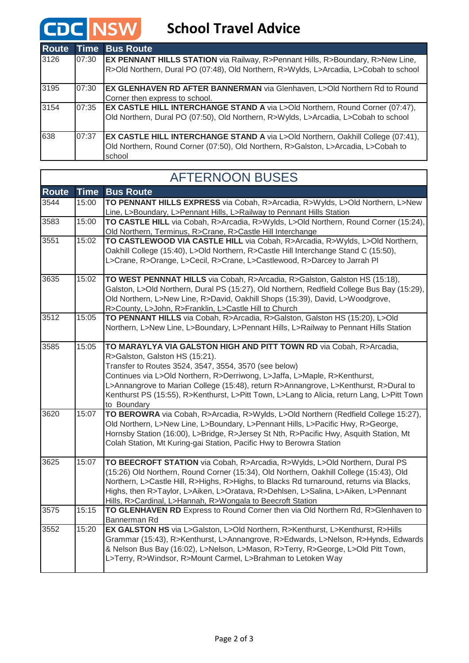$\Gamma$ 

## **CDC** NSW School Travel Advice

| <b>Route</b> |       | <b>Time Bus Route</b>                                                                                                                                                                     |
|--------------|-------|-------------------------------------------------------------------------------------------------------------------------------------------------------------------------------------------|
| 3126         | 07:30 | <b>EX PENNANT HILLS STATION</b> via Railway, R>Pennant Hills, R>Boundary, R>New Line,<br>R>Old Northern, Dural PO (07:48), Old Northern, R>Wylds, L>Arcadia, L>Cobah to school            |
| 3195         | 07:30 | EX GLENHAVEN RD AFTER BANNERMAN via Glenhaven, L>Old Northern Rd to Round<br>Corner then express to school.                                                                               |
| 3154         | 07:35 | <b>EX CASTLE HILL INTERCHANGE STAND A via L&gt;Old Northern, Round Corner (07:47),</b><br>Old Northern, Dural PO (07:50), Old Northern, R>Wylds, L>Arcadia, L>Cobah to school             |
| 638          | 07:37 | <b>EX CASTLE HILL INTERCHANGE STAND A via L&gt;Old Northern, Oakhill College (07:41),</b><br>Old Northern, Round Corner (07:50), Old Northern, R>Galston, L>Arcadia, L>Cobah to<br>school |

|              |             | <u>I LI VITUUTI DUULU</u>                                                                                                                        |
|--------------|-------------|--------------------------------------------------------------------------------------------------------------------------------------------------|
| <b>Route</b> | <b>Time</b> | <b>Bus Route</b>                                                                                                                                 |
| 3544         | 15:00       | TO PENNANT HILLS EXPRESS via Cobah, R>Arcadia, R>Wylds, L>Old Northern, L>New                                                                    |
|              |             | Line, L>Boundary, L>Pennant Hills, L>Railway to Pennant Hills Station                                                                            |
| 3583         | 15:00       | TO CASTLE HILL via Cobah, R>Arcadia, R>Wylds, L>Old Northern, Round Corner (15:24),                                                              |
|              |             | Old Northern, Terminus, R>Crane, R>Castle Hill Interchange                                                                                       |
| 3551         | 15:02       | TO CASTLEWOOD VIA CASTLE HILL via Cobah, R>Arcadia, R>Wylds, L>Old Northern,                                                                     |
|              |             | Oakhill College (15:40), L>Old Northern, R>Castle Hill Interchange Stand C (15:50),                                                              |
|              |             | L>Crane, R>Orange, L>Cecil, R>Crane, L>Castlewood, R>Darcey to Jarrah Pl                                                                         |
|              |             |                                                                                                                                                  |
| 3635         | 15:02       | TO WEST PENNNAT HILLS via Cobah, R>Arcadia, R>Galston, Galston HS (15:18),                                                                       |
|              |             | Galston, L>Old Northern, Dural PS (15:27), Old Northern, Redfield College Bus Bay (15:29),                                                       |
|              |             | Old Northern, L>New Line, R>David, Oakhill Shops (15:39), David, L>Woodgrove,                                                                    |
|              |             | R>County, L>John, R>Franklin, L>Castle Hill to Church                                                                                            |
| 3512         | 15:05       | TO PENNANT HILLS via Cobah, R>Arcadia, R>Galston, Galston HS (15:20), L>Old                                                                      |
|              |             | Northern, L>New Line, L>Boundary, L>Pennant Hills, L>Railway to Pennant Hills Station                                                            |
| 3585         | 15:05       | TO MARAYLYA VIA GALSTON HIGH AND PITT TOWN RD via Cobah, R>Arcadia,                                                                              |
|              |             | R>Galston, Galston HS (15:21).                                                                                                                   |
|              |             | Transfer to Routes 3524, 3547, 3554, 3570 (see below)                                                                                            |
|              |             | Continues via L>Old Northern, R>Derriwong, L>Jaffa, L>Maple, R>Kenthurst,                                                                        |
|              |             | L>Annangrove to Marian College (15:48), return R>Annangrove, L>Kenthurst, R>Dural to                                                             |
|              |             | Kenthurst PS (15:55), R>Kenthurst, L>Pitt Town, L>Lang to Alicia, return Lang, L>Pitt Town                                                       |
|              |             | to Boundary                                                                                                                                      |
| 3620         | 15:07       | TO BEROWRA via Cobah, R>Arcadia, R>Wylds, L>Old Northern (Redfield College 15:27),                                                               |
|              |             | Old Northern, L>New Line, L>Boundary, L>Pennant Hills, L>Pacific Hwy, R>George,                                                                  |
|              |             | Hornsby Station (16:00), L>Bridge, R>Jersey St Nth, R>Pacific Hwy, Asquith Station, Mt                                                           |
|              |             | Colah Station, Mt Kuring-gai Station, Pacific Hwy to Berowra Station                                                                             |
| 3625         | 15:07       | TO BEECROFT STATION via Cobah, R>Arcadia, R>Wylds, L>Old Northern, Dural PS                                                                      |
|              |             | (15:26) Old Northern, Round Corner (15:34), Old Northern, Oakhill College (15:43), Old                                                           |
|              |             | Northern, L>Castle Hill, R>Highs, R>Highs, to Blacks Rd turnaround, returns via Blacks,                                                          |
|              |             | Highs, then R>Taylor, L>Aiken, L>Oratava, R>Dehlsen, L>Salina, L>Aiken, L>Pennant                                                                |
|              |             | Hills, R>Cardinal, L>Hannah, R>Wongala to Beecroft Station                                                                                       |
| 3575         | 15:15       | TO GLENHAVEN RD Express to Round Corner then via Old Northern Rd, R>Glenhaven to                                                                 |
|              |             | Bannerman Rd                                                                                                                                     |
| 3552         | 15:20       | EX GALSTON HS via L>Galston, L>Old Northern, R>Kenthurst, L>Kenthurst, R>Hills                                                                   |
|              |             | Grammar (15:43), R>Kenthurst, L>Annangrove, R>Edwards, L>Nelson, R>Hynds, Edwards                                                                |
|              |             | & Nelson Bus Bay (16:02), L>Nelson, L>Mason, R>Terry, R>George, L>Old Pitt Town,<br>L>Terry, R>Windsor, R>Mount Carmel, L>Brahman to Letoken Way |
|              |             |                                                                                                                                                  |
|              |             |                                                                                                                                                  |

### AFTERNOON BUSES